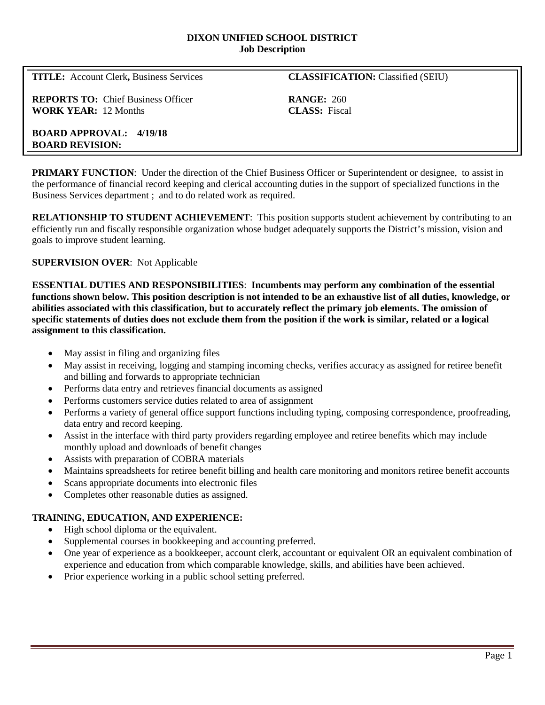#### **DIXON UNIFIED SCHOOL DISTRICT Job Description**

**TITLE:** Account Clerk**,** Business Services **CLASSIFICATION:** Classified (SEIU)

**REPORTS TO:** Chief Business Officer **RANGE:** 260 **WORK YEAR:** 12 Months **CLASS:** Fiscal

**BOARD APPROVAL: 4/19/18 BOARD REVISION:**

**PRIMARY FUNCTION:** Under the direction of the Chief Business Officer or Superintendent or designee, to assist in the performance of financial record keeping and clerical accounting duties in the support of specialized functions in the Business Services department ; and to do related work as required.

**RELATIONSHIP TO STUDENT ACHIEVEMENT:** This position supports student achievement by contributing to an efficiently run and fiscally responsible organization whose budget adequately supports the District's mission, vision and goals to improve student learning.

#### **SUPERVISION OVER**: Not Applicable

**ESSENTIAL DUTIES AND RESPONSIBILITIES**: **Incumbents may perform any combination of the essential functions shown below. This position description is not intended to be an exhaustive list of all duties, knowledge, or abilities associated with this classification, but to accurately reflect the primary job elements. The omission of specific statements of duties does not exclude them from the position if the work is similar, related or a logical assignment to this classification.**

- May assist in filing and organizing files
- May assist in receiving, logging and stamping incoming checks, verifies accuracy as assigned for retiree benefit and billing and forwards to appropriate technician
- Performs data entry and retrieves financial documents as assigned
- Performs customers service duties related to area of assignment
- Performs a variety of general office support functions including typing, composing correspondence, proofreading, data entry and record keeping.
- Assist in the interface with third party providers regarding employee and retiree benefits which may include monthly upload and downloads of benefit changes
- Assists with preparation of COBRA materials
- Maintains spreadsheets for retiree benefit billing and health care monitoring and monitors retiree benefit accounts
- Scans appropriate documents into electronic files
- Completes other reasonable duties as assigned.

# **TRAINING, EDUCATION, AND EXPERIENCE:**

- High school diploma or the equivalent.
- Supplemental courses in bookkeeping and accounting preferred.
- One year of experience as a bookkeeper, account clerk, accountant or equivalent OR an equivalent combination of experience and education from which comparable knowledge, skills, and abilities have been achieved.
- Prior experience working in a public school setting preferred.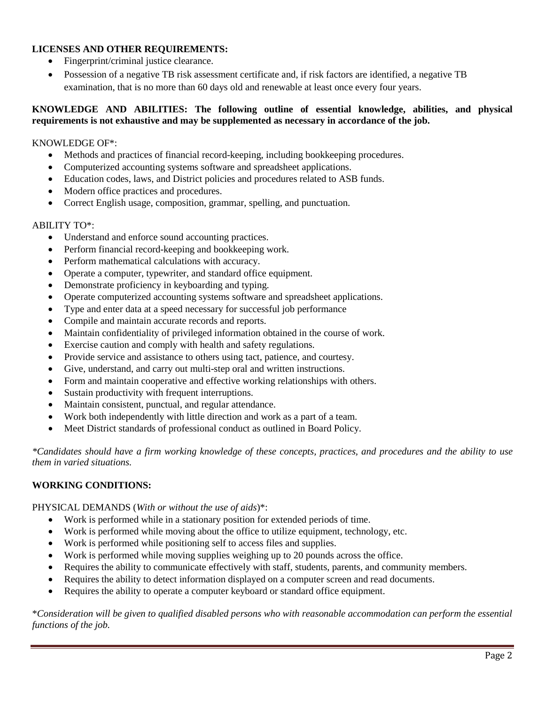## **LICENSES AND OTHER REQUIREMENTS:**

- Fingerprint/criminal justice clearance.
- Possession of a negative TB risk assessment certificate and, if risk factors are identified, a negative TB examination, that is no more than 60 days old and renewable at least once every four years.

## **KNOWLEDGE AND ABILITIES: The following outline of essential knowledge, abilities, and physical requirements is not exhaustive and may be supplemented as necessary in accordance of the job.**

#### KNOWLEDGE OF\*:

- Methods and practices of financial record-keeping, including bookkeeping procedures.
- Computerized accounting systems software and spreadsheet applications.
- Education codes, laws, and District policies and procedures related to ASB funds.
- Modern office practices and procedures.
- Correct English usage, composition, grammar, spelling, and punctuation.

### ABILITY TO\*:

- Understand and enforce sound accounting practices.
- Perform financial record-keeping and bookkeeping work.
- Perform mathematical calculations with accuracy.
- Operate a computer, typewriter, and standard office equipment.
- Demonstrate proficiency in keyboarding and typing.
- Operate computerized accounting systems software and spreadsheet applications.
- Type and enter data at a speed necessary for successful job performance
- Compile and maintain accurate records and reports.
- Maintain confidentiality of privileged information obtained in the course of work.
- Exercise caution and comply with health and safety regulations.
- Provide service and assistance to others using tact, patience, and courtesy.
- Give, understand, and carry out multi-step oral and written instructions.
- Form and maintain cooperative and effective working relationships with others.
- Sustain productivity with frequent interruptions.
- Maintain consistent, punctual, and regular attendance.
- Work both independently with little direction and work as a part of a team.
- Meet District standards of professional conduct as outlined in Board Policy.

*\*Candidates should have a firm working knowledge of these concepts, practices, and procedures and the ability to use them in varied situations.*

## **WORKING CONDITIONS:**

PHYSICAL DEMANDS (*With or without the use of aids*)\*:

- Work is performed while in a stationary position for extended periods of time.
- Work is performed while moving about the office to utilize equipment, technology, etc.
- Work is performed while positioning self to access files and supplies.
- Work is performed while moving supplies weighing up to 20 pounds across the office.
- Requires the ability to communicate effectively with staff, students, parents, and community members.
- Requires the ability to detect information displayed on a computer screen and read documents.
- Requires the ability to operate a computer keyboard or standard office equipment.

\**Consideration will be given to qualified disabled persons who with reasonable accommodation can perform the essential functions of the job.*